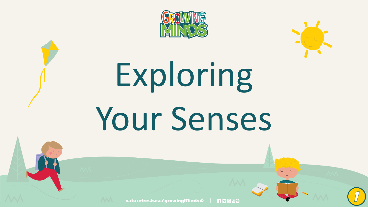



# Exploring Your Senses

naturefresh.ca/growing minds  $\ell$  |

**RDO&O**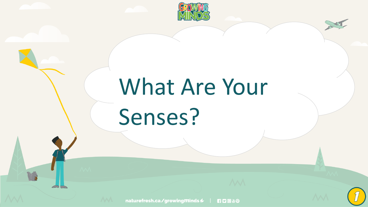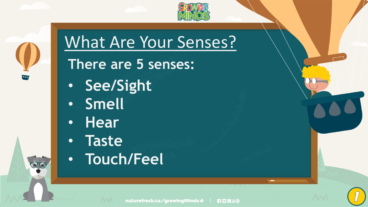



### What Are Your Senses?

#### **There are 5 senses:**

- **See/Sight**
- **Smell**
- **Hear**
- **Taste**
- **Touch/Feel**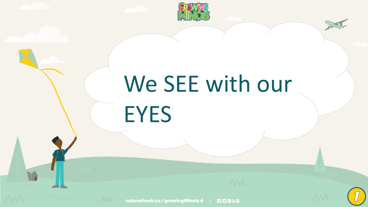

## We SEE with our EYES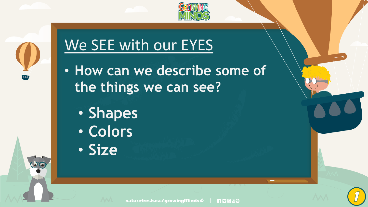

### We SEE with our EYES

- **How can we describe some of the things we can see?**
	- **Shapes**
	- **Colors**
	- **Size**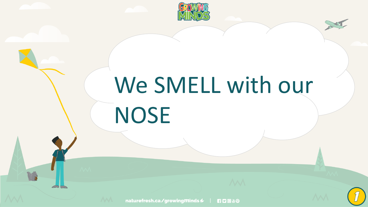

## We SMELL with our NOSE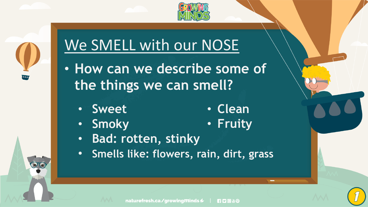

#### We SMELL with our NOSE

- **How can we describe some of the things we can smell?**
	- **Sweet** • **Clean**
	- **Smoky** • **Fruity**
	- **Bad: rotten, stinky**
	- **Smells like: flowers, rain, dirt, grass**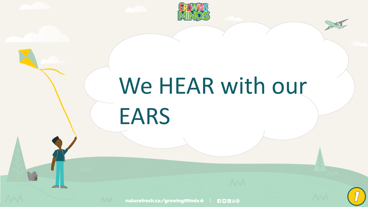

### We HEAR with our EARS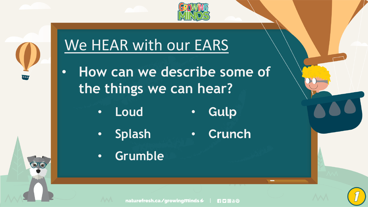

#### We HEAR with our EARS

- **How can we describe some of the things we can hear?** 
	- Gulp • **Loud**  $\bullet$
	- **Splash**

Crunch  $\bullet$ 

• **Grumble**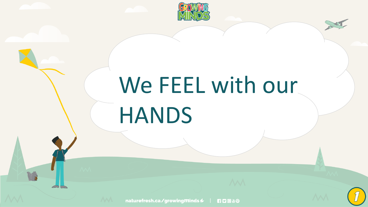

## We FEEL with our HANDS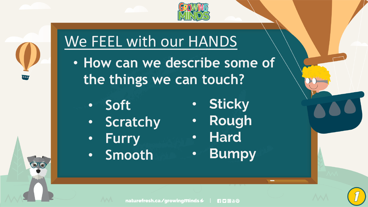



#### We FEEL with our HANDS

- **How can we describe some of the things we can touch?** 
	- **Soft**
	- **Scratchy**
	- **Furry**
	- **Smooth**
- **Sticky**  $\bullet$
- · Rough
- · Hard
- Bumpy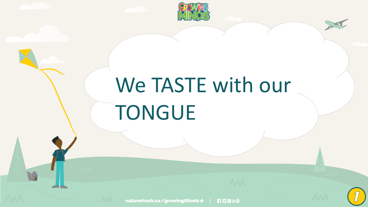

### We TASTE with our TONGUE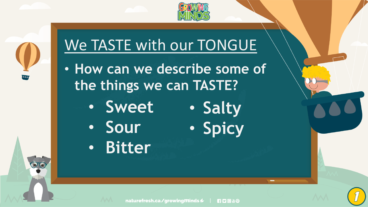

#### We TASTE with our TONGUE

- **How can we describe some of the things we can TASTE?** 
	- **Sweet** • **Salty**
	- **Sour**
	- **Bitter**

• **Spicy**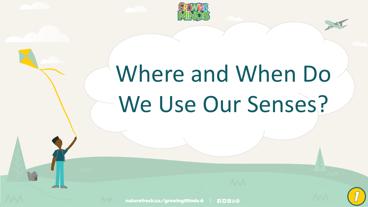

# Where and When Do We Use Our Senses?

naturefresh.ca/growing minds  $\ell$  | **RDO 80**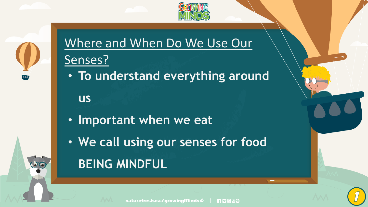

#### Where and When Do We Use Our Senses?

• **To understand everything around** 

**us**

- **Important when we eat**
- **We call using our senses for food**

#### **BEING MINDFUL**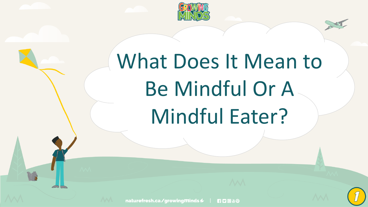

### What Does It Mean to Be Mindful Or A Mindful Eater?

naturefresh.ca/growing minds  $\ell$  | **RDO & O**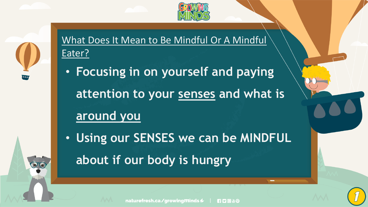

What Does It Mean to Be Mindful Or A Mindful Eater?

- **Focusing in on yourself and paying attention to your senses and what is around you**
- **Using our SENSES we can be MINDFUL about if our body is hungry**